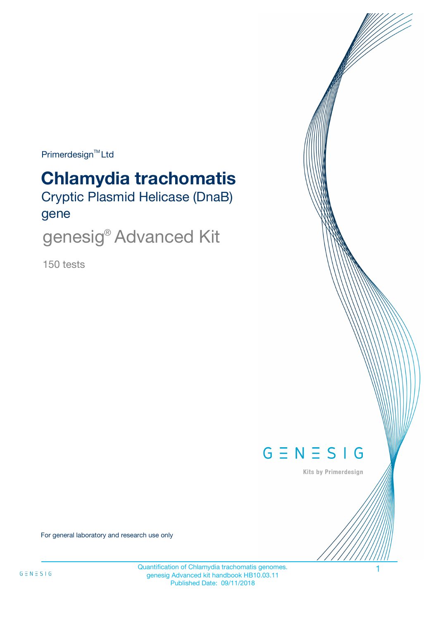Primerdesign<sup>™</sup>Ltd

# **Chlamydia trachomatis**

Cryptic Plasmid Helicase (DnaB) gene

genesig® Advanced Kit

150 tests



Kits by Primerdesign

For general laboratory and research use only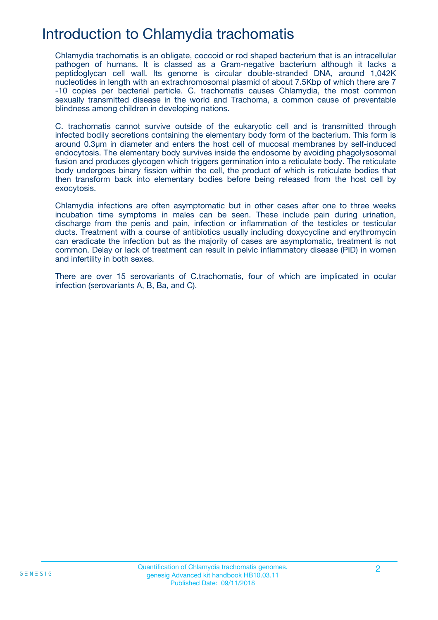## Introduction to Chlamydia trachomatis

Chlamydia trachomatis is an obligate, coccoid or rod shaped bacterium that is an intracellular pathogen of humans. It is classed as a Gram-negative bacterium although it lacks a peptidoglycan cell wall. Its genome is circular double-stranded DNA, around 1,042K nucleotides in length with an extrachromosomal plasmid of about 7.5Kbp of which there are 7 -10 copies per bacterial particle. C. trachomatis causes Chlamydia, the most common sexually transmitted disease in the world and Trachoma, a common cause of preventable blindness among children in developing nations.

C. trachomatis cannot survive outside of the eukaryotic cell and is transmitted through infected bodily secretions containing the elementary body form of the bacterium. This form is around 0.3μm in diameter and enters the host cell of mucosal membranes by self-induced endocytosis. The elementary body survives inside the endosome by avoiding phagolysosomal fusion and produces glycogen which triggers germination into a reticulate body. The reticulate body undergoes binary fission within the cell, the product of which is reticulate bodies that then transform back into elementary bodies before being released from the host cell by exocytosis.

Chlamydia infections are often asymptomatic but in other cases after one to three weeks incubation time symptoms in males can be seen. These include pain during urination, discharge from the penis and pain, infection or inflammation of the testicles or testicular ducts. Treatment with a course of antibiotics usually including doxycycline and erythromycin can eradicate the infection but as the majority of cases are asymptomatic, treatment is not common. Delay or lack of treatment can result in pelvic inflammatory disease (PID) in women and infertility in both sexes.

There are over 15 serovariants of C.trachomatis, four of which are implicated in ocular infection (serovariants A, B, Ba, and C).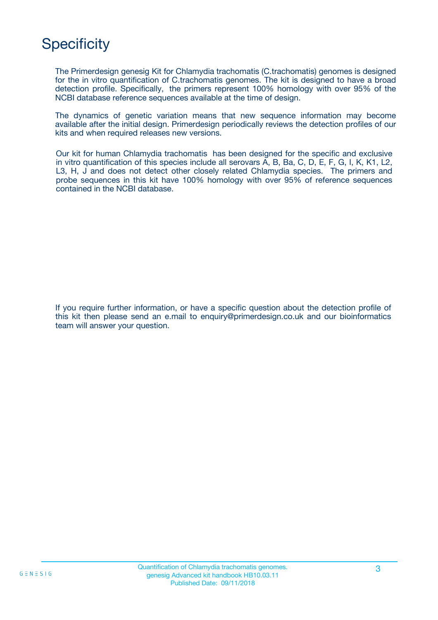# **Specificity**

The Primerdesign genesig Kit for Chlamydia trachomatis (C.trachomatis) genomes is designed for the in vitro quantification of C.trachomatis genomes. The kit is designed to have a broad detection profile. Specifically, the primers represent 100% homology with over 95% of the NCBI database reference sequences available at the time of design.

The dynamics of genetic variation means that new sequence information may become available after the initial design. Primerdesign periodically reviews the detection profiles of our kits and when required releases new versions.

Our kit for human Chlamydia trachomatis has been designed for the specific and exclusive in vitro quantification of this species include all serovars A, B, Ba, C, D, E, F, G, I, K, K1, L2, L3, H, J and does not detect other closely related Chlamydia species. The primers and probe sequences in this kit have 100% homology with over 95% of reference sequences contained in the NCBI database.

If you require further information, or have a specific question about the detection profile of this kit then please send an e.mail to enquiry@primerdesign.co.uk and our bioinformatics team will answer your question.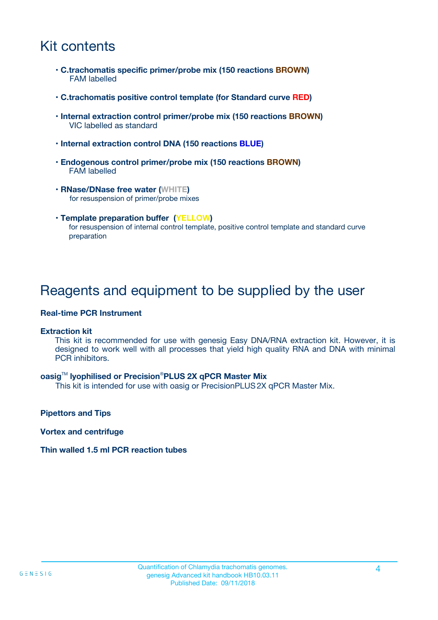## Kit contents

- **C.trachomatis specific primer/probe mix (150 reactions BROWN)** FAM labelled
- **C.trachomatis positive control template (for Standard curve RED)**
- **Internal extraction control primer/probe mix (150 reactions BROWN)** VIC labelled as standard
- **Internal extraction control DNA (150 reactions BLUE)**
- **Endogenous control primer/probe mix (150 reactions BROWN)** FAM labelled
- **RNase/DNase free water (WHITE)** for resuspension of primer/probe mixes
- **Template preparation buffer (YELLOW)** for resuspension of internal control template, positive control template and standard curve preparation

### Reagents and equipment to be supplied by the user

#### **Real-time PCR Instrument**

#### **Extraction kit**

This kit is recommended for use with genesig Easy DNA/RNA extraction kit. However, it is designed to work well with all processes that yield high quality RNA and DNA with minimal PCR inhibitors.

#### **oasig**TM **lyophilised or Precision**®**PLUS 2X qPCR Master Mix**

This kit is intended for use with oasig or PrecisionPLUS2X qPCR Master Mix.

**Pipettors and Tips**

**Vortex and centrifuge**

#### **Thin walled 1.5 ml PCR reaction tubes**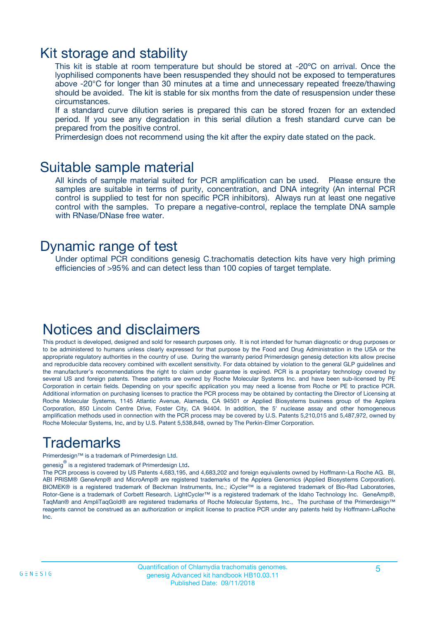### Kit storage and stability

This kit is stable at room temperature but should be stored at -20ºC on arrival. Once the lyophilised components have been resuspended they should not be exposed to temperatures above -20°C for longer than 30 minutes at a time and unnecessary repeated freeze/thawing should be avoided. The kit is stable for six months from the date of resuspension under these circumstances.

If a standard curve dilution series is prepared this can be stored frozen for an extended period. If you see any degradation in this serial dilution a fresh standard curve can be prepared from the positive control.

Primerdesign does not recommend using the kit after the expiry date stated on the pack.

### Suitable sample material

All kinds of sample material suited for PCR amplification can be used. Please ensure the samples are suitable in terms of purity, concentration, and DNA integrity (An internal PCR control is supplied to test for non specific PCR inhibitors). Always run at least one negative control with the samples. To prepare a negative-control, replace the template DNA sample with RNase/DNase free water.

### Dynamic range of test

Under optimal PCR conditions genesig C.trachomatis detection kits have very high priming efficiencies of >95% and can detect less than 100 copies of target template.

## Notices and disclaimers

This product is developed, designed and sold for research purposes only. It is not intended for human diagnostic or drug purposes or to be administered to humans unless clearly expressed for that purpose by the Food and Drug Administration in the USA or the appropriate regulatory authorities in the country of use. During the warranty period Primerdesign genesig detection kits allow precise and reproducible data recovery combined with excellent sensitivity. For data obtained by violation to the general GLP guidelines and the manufacturer's recommendations the right to claim under guarantee is expired. PCR is a proprietary technology covered by several US and foreign patents. These patents are owned by Roche Molecular Systems Inc. and have been sub-licensed by PE Corporation in certain fields. Depending on your specific application you may need a license from Roche or PE to practice PCR. Additional information on purchasing licenses to practice the PCR process may be obtained by contacting the Director of Licensing at Roche Molecular Systems, 1145 Atlantic Avenue, Alameda, CA 94501 or Applied Biosystems business group of the Applera Corporation, 850 Lincoln Centre Drive, Foster City, CA 94404. In addition, the 5' nuclease assay and other homogeneous amplification methods used in connection with the PCR process may be covered by U.S. Patents 5,210,015 and 5,487,972, owned by Roche Molecular Systems, Inc, and by U.S. Patent 5,538,848, owned by The Perkin-Elmer Corporation.

# Trademarks

Primerdesign™ is a trademark of Primerdesign Ltd.

genesig $^\circledR$  is a registered trademark of Primerdesign Ltd.

The PCR process is covered by US Patents 4,683,195, and 4,683,202 and foreign equivalents owned by Hoffmann-La Roche AG. BI, ABI PRISM® GeneAmp® and MicroAmp® are registered trademarks of the Applera Genomics (Applied Biosystems Corporation). BIOMEK® is a registered trademark of Beckman Instruments, Inc.; iCycler™ is a registered trademark of Bio-Rad Laboratories, Rotor-Gene is a trademark of Corbett Research. LightCycler™ is a registered trademark of the Idaho Technology Inc. GeneAmp®, TaqMan® and AmpliTaqGold® are registered trademarks of Roche Molecular Systems, Inc., The purchase of the Primerdesign™ reagents cannot be construed as an authorization or implicit license to practice PCR under any patents held by Hoffmann-LaRoche Inc.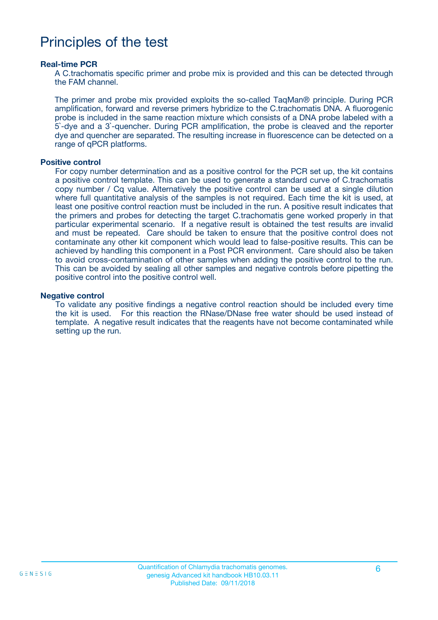### Principles of the test

#### **Real-time PCR**

A C.trachomatis specific primer and probe mix is provided and this can be detected through the FAM channel.

The primer and probe mix provided exploits the so-called TaqMan® principle. During PCR amplification, forward and reverse primers hybridize to the C.trachomatis DNA. A fluorogenic probe is included in the same reaction mixture which consists of a DNA probe labeled with a 5`-dye and a 3`-quencher. During PCR amplification, the probe is cleaved and the reporter dye and quencher are separated. The resulting increase in fluorescence can be detected on a range of qPCR platforms.

#### **Positive control**

For copy number determination and as a positive control for the PCR set up, the kit contains a positive control template. This can be used to generate a standard curve of C.trachomatis copy number / Cq value. Alternatively the positive control can be used at a single dilution where full quantitative analysis of the samples is not required. Each time the kit is used, at least one positive control reaction must be included in the run. A positive result indicates that the primers and probes for detecting the target C.trachomatis gene worked properly in that particular experimental scenario. If a negative result is obtained the test results are invalid and must be repeated. Care should be taken to ensure that the positive control does not contaminate any other kit component which would lead to false-positive results. This can be achieved by handling this component in a Post PCR environment. Care should also be taken to avoid cross-contamination of other samples when adding the positive control to the run. This can be avoided by sealing all other samples and negative controls before pipetting the positive control into the positive control well.

#### **Negative control**

To validate any positive findings a negative control reaction should be included every time the kit is used. For this reaction the RNase/DNase free water should be used instead of template. A negative result indicates that the reagents have not become contaminated while setting up the run.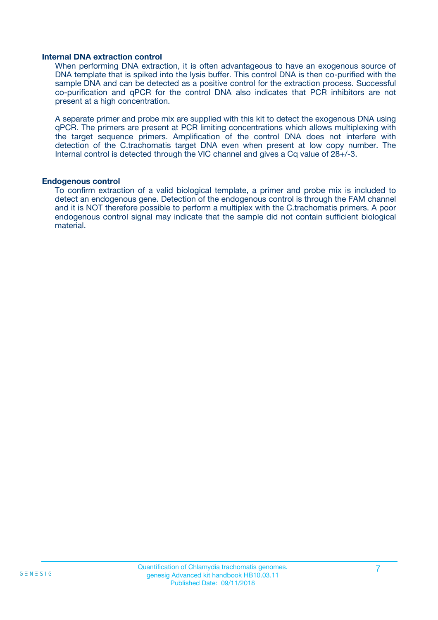#### **Internal DNA extraction control**

When performing DNA extraction, it is often advantageous to have an exogenous source of DNA template that is spiked into the lysis buffer. This control DNA is then co-purified with the sample DNA and can be detected as a positive control for the extraction process. Successful co-purification and qPCR for the control DNA also indicates that PCR inhibitors are not present at a high concentration.

A separate primer and probe mix are supplied with this kit to detect the exogenous DNA using qPCR. The primers are present at PCR limiting concentrations which allows multiplexing with the target sequence primers. Amplification of the control DNA does not interfere with detection of the C.trachomatis target DNA even when present at low copy number. The Internal control is detected through the VIC channel and gives a Cq value of 28+/-3.

#### **Endogenous control**

To confirm extraction of a valid biological template, a primer and probe mix is included to detect an endogenous gene. Detection of the endogenous control is through the FAM channel and it is NOT therefore possible to perform a multiplex with the C.trachomatis primers. A poor endogenous control signal may indicate that the sample did not contain sufficient biological material.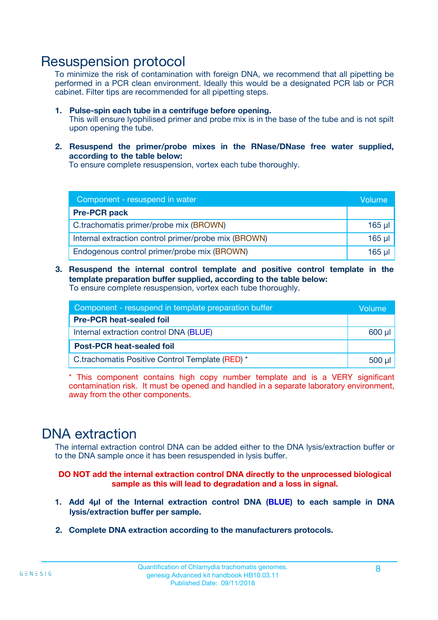### Resuspension protocol

To minimize the risk of contamination with foreign DNA, we recommend that all pipetting be performed in a PCR clean environment. Ideally this would be a designated PCR lab or PCR cabinet. Filter tips are recommended for all pipetting steps.

- **1. Pulse-spin each tube in a centrifuge before opening.** This will ensure lyophilised primer and probe mix is in the base of the tube and is not spilt upon opening the tube.
- **2. Resuspend the primer/probe mixes in the RNase/DNase free water supplied, according to the table below:**

To ensure complete resuspension, vortex each tube thoroughly.

| Component - resuspend in water                       |             |  |
|------------------------------------------------------|-------------|--|
| <b>Pre-PCR pack</b>                                  |             |  |
| C.trachomatis primer/probe mix (BROWN)               | $165$ µl    |  |
| Internal extraction control primer/probe mix (BROWN) | $165$ $\mu$ |  |
| Endogenous control primer/probe mix (BROWN)          | 165 µl      |  |

**3. Resuspend the internal control template and positive control template in the template preparation buffer supplied, according to the table below:** To ensure complete resuspension, vortex each tube thoroughly.

| Component - resuspend in template preparation buffer |  |  |  |
|------------------------------------------------------|--|--|--|
| <b>Pre-PCR heat-sealed foil</b>                      |  |  |  |
| Internal extraction control DNA (BLUE)               |  |  |  |
| <b>Post-PCR heat-sealed foil</b>                     |  |  |  |
| C.trachomatis Positive Control Template (RED) *      |  |  |  |

\* This component contains high copy number template and is a VERY significant contamination risk. It must be opened and handled in a separate laboratory environment, away from the other components.

### DNA extraction

The internal extraction control DNA can be added either to the DNA lysis/extraction buffer or to the DNA sample once it has been resuspended in lysis buffer.

**DO NOT add the internal extraction control DNA directly to the unprocessed biological sample as this will lead to degradation and a loss in signal.**

- **1. Add 4µl of the Internal extraction control DNA (BLUE) to each sample in DNA lysis/extraction buffer per sample.**
- **2. Complete DNA extraction according to the manufacturers protocols.**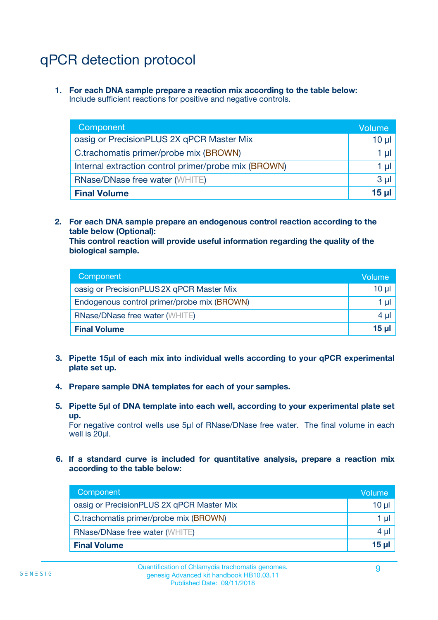# qPCR detection protocol

**1. For each DNA sample prepare a reaction mix according to the table below:** Include sufficient reactions for positive and negative controls.

| Component                                            | Volume   |
|------------------------------------------------------|----------|
| oasig or PrecisionPLUS 2X qPCR Master Mix            | $10 \mu$ |
| C.trachomatis primer/probe mix (BROWN)               | 1 µI     |
| Internal extraction control primer/probe mix (BROWN) | 1 µl     |
| <b>RNase/DNase free water (WHITE)</b>                | $3 \mu$  |
| <b>Final Volume</b>                                  | 15 µl    |

**2. For each DNA sample prepare an endogenous control reaction according to the table below (Optional):**

**This control reaction will provide useful information regarding the quality of the biological sample.**

| Component                                   | Volume   |
|---------------------------------------------|----------|
| oasig or PrecisionPLUS 2X qPCR Master Mix   | $10 \mu$ |
| Endogenous control primer/probe mix (BROWN) | 1 µI     |
| <b>RNase/DNase free water (WHITE)</b>       | $4 \mu$  |
| <b>Final Volume</b>                         | 15 µl    |

- **3. Pipette 15µl of each mix into individual wells according to your qPCR experimental plate set up.**
- **4. Prepare sample DNA templates for each of your samples.**
- **5. Pipette 5µl of DNA template into each well, according to your experimental plate set up.**

For negative control wells use 5µl of RNase/DNase free water. The final volume in each well is 20ul.

**6. If a standard curve is included for quantitative analysis, prepare a reaction mix according to the table below:**

| Component                                 | Volume          |
|-------------------------------------------|-----------------|
| oasig or PrecisionPLUS 2X qPCR Master Mix | 10 $\mu$        |
| C.trachomatis primer/probe mix (BROWN)    | 1 µI I          |
| <b>RNase/DNase free water (WHITE)</b>     | $4 \mu$         |
| <b>Final Volume</b>                       | 15 <sub>µ</sub> |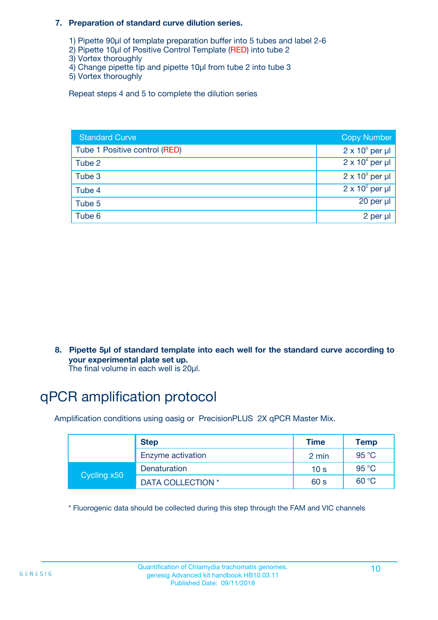#### **7. Preparation of standard curve dilution series.**

- 1) Pipette 90µl of template preparation buffer into 5 tubes and label 2-6
- 2) Pipette 10µl of Positive Control Template (RED) into tube 2
- 3) Vortex thoroughly
- 4) Change pipette tip and pipette 10µl from tube 2 into tube 3
- 5) Vortex thoroughly

Repeat steps 4 and 5 to complete the dilution series

| <b>Standard Curve</b>         | <b>Copy Number</b>     |
|-------------------------------|------------------------|
| Tube 1 Positive control (RED) | $2 \times 10^5$ per µl |
| Tube 2                        | $2 \times 10^4$ per µl |
| Tube 3                        | $2 \times 10^3$ per µl |
| Tube 4                        | $2 \times 10^2$ per µl |
| Tube 5                        | 20 per µl              |
| Tube 6                        | 2 per µl               |

**8. Pipette 5µl of standard template into each well for the standard curve according to your experimental plate set up.**

#### The final volume in each well is 20µl.

# qPCR amplification protocol

Amplification conditions using oasig or PrecisionPLUS 2X qPCR Master Mix.

|             | <b>Step</b>       | <b>Time</b>     | Temp    |
|-------------|-------------------|-----------------|---------|
|             | Enzyme activation | 2 min           | 95 °C   |
| Cycling x50 | Denaturation      | 10 <sub>s</sub> | 95 $°C$ |
|             | DATA COLLECTION * | 60 s            | 60 °C   |

\* Fluorogenic data should be collected during this step through the FAM and VIC channels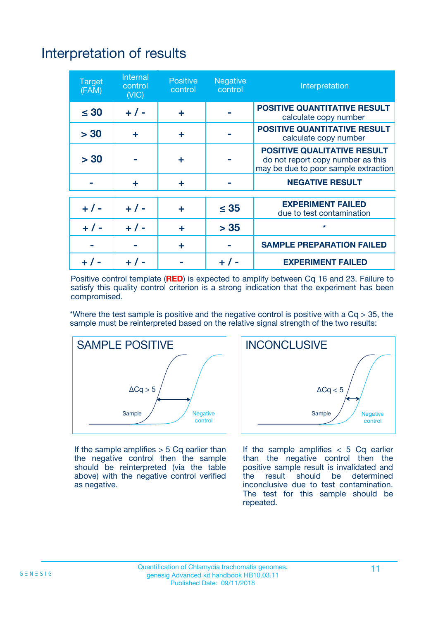# Interpretation of results

| <b>Target</b><br>(FAM) | <b>Internal</b><br>control<br>(NIC) | <b>Positive</b><br>control | <b>Negative</b><br>control | Interpretation                                                                                                  |
|------------------------|-------------------------------------|----------------------------|----------------------------|-----------------------------------------------------------------------------------------------------------------|
| $\leq 30$              | $+ 1 -$                             | ÷                          |                            | <b>POSITIVE QUANTITATIVE RESULT</b><br>calculate copy number                                                    |
| > 30                   | ٠                                   | ÷                          |                            | <b>POSITIVE QUANTITATIVE RESULT</b><br>calculate copy number                                                    |
| > 30                   |                                     | ÷                          |                            | <b>POSITIVE QUALITATIVE RESULT</b><br>do not report copy number as this<br>may be due to poor sample extraction |
|                        | ÷                                   | ÷                          |                            | <b>NEGATIVE RESULT</b>                                                                                          |
| $+ 1 -$                | $+ 1 -$                             | ÷                          | $\leq$ 35                  | <b>EXPERIMENT FAILED</b><br>due to test contamination                                                           |
| $+$ / -                | $+ 1 -$                             | ÷                          | > 35                       | $\star$                                                                                                         |
|                        |                                     | ÷                          |                            | <b>SAMPLE PREPARATION FAILED</b>                                                                                |
|                        |                                     |                            | $+$ /                      | <b>EXPERIMENT FAILED</b>                                                                                        |

Positive control template (**RED**) is expected to amplify between Cq 16 and 23. Failure to satisfy this quality control criterion is a strong indication that the experiment has been compromised.

\*Where the test sample is positive and the negative control is positive with a  $Ca > 35$ , the sample must be reinterpreted based on the relative signal strength of the two results:



If the sample amplifies  $> 5$  Cq earlier than the negative control then the sample should be reinterpreted (via the table above) with the negative control verified as negative.



If the sample amplifies  $< 5$  Cq earlier than the negative control then the positive sample result is invalidated and<br>the result should be determined  $the$  result should be inconclusive due to test contamination. The test for this sample should be repeated.